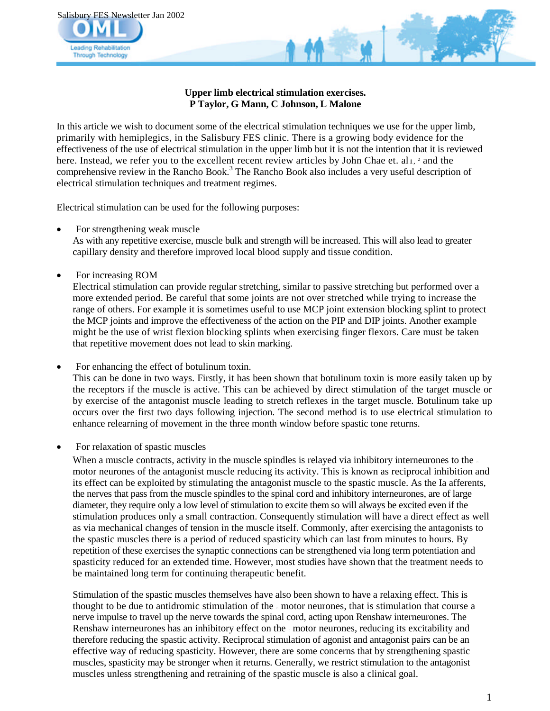

### **Upper limb electrical stimulation exercises. P Taylor, G Mann, C Johnson, L Malone**

In this article we wish to document some of the electrical stimulation techniques we use for the upper limb, primarily with hemiplegics, in the Salisbury FES clinic. There is a growing body evidence for the effectiveness of the use of electrical stimulation in the upper limb but it is not the intention that it is reviewed here. Instead, we refer you to the excellent recent review articles by John Chae et. al<sub>1</sub>, 2 and the comprehensive review in the Rancho Book.<sup>3</sup> The Rancho Book also includes a very useful description of electrical stimulation techniques and treatment regimes.

Electrical stimulation can be used for the following purposes:

For strengthening weak muscle

As with any repetitive exercise, muscle bulk and strength will be increased. This will also lead to greater capillary density and therefore improved local blood supply and tissue condition.

For increasing ROM

Electrical stimulation can provide regular stretching, similar to passive stretching but performed over a more extended period. Be careful that some joints are not over stretched while trying to increase the range of others. For example it is sometimes useful to use MCP joint extension blocking splint to protect the MCP joints and improve the effectiveness of the action on the PIP and DIP joints. Another example might be the use of wrist flexion blocking splints when exercising finger flexors. Care must be taken that repetitive movement does not lead to skin marking.

• For enhancing the effect of botulinum toxin.

This can be done in two ways. Firstly, it has been shown that botulinum toxin is more easily taken up by the receptors if the muscle is active. This can be achieved by direct stimulation of the target muscle or by exercise of the antagonist muscle leading to stretch reflexes in the target muscle. Botulinum take up occurs over the first two days following injection. The second method is to use electrical stimulation to enhance relearning of movement in the three month window before spastic tone returns.

For relaxation of spastic muscles

When a muscle contracts, activity in the muscle spindles is relayed via inhibitory interneurones to the motor neurones of the antagonist muscle reducing its activity. This is known as reciprocal inhibition and its effect can be exploited by stimulating the antagonist muscle to the spastic muscle. As the Ia afferents, the nerves that pass from the muscle spindles to the spinal cord and inhibitory interneurones, are of large diameter, they require only a low level of stimulation to excite them so will always be excited even if the stimulation produces only a small contraction. Consequently stimulation will have a direct effect as well as via mechanical changes of tension in the muscle itself. Commonly, after exercising the antagonists to the spastic muscles there is a period of reduced spasticity which can last from minutes to hours. By repetition of these exercises the synaptic connections can be strengthened via long term potentiation and spasticity reduced for an extended time. However, most studies have shown that the treatment needs to be maintained long term for continuing therapeutic benefit.

Stimulation of the spastic muscles themselves have also been shown to have a relaxing effect. This is thought to be due to antidromic stimulation of the motor neurones, that is stimulation that course a nerve impulse to travel up the nerve towards the spinal cord, acting upon Renshaw interneurones. The Renshaw interneurones has an inhibitory effect on the motor neurones, reducing its excitability and therefore reducing the spastic activity. Reciprocal stimulation of agonist and antagonist pairs can be an effective way of reducing spasticity. However, there are some concerns that by strengthening spastic muscles, spasticity may be stronger when it returns. Generally, we restrict stimulation to the antagonist muscles unless strengthening and retraining of the spastic muscle is also a clinical goal.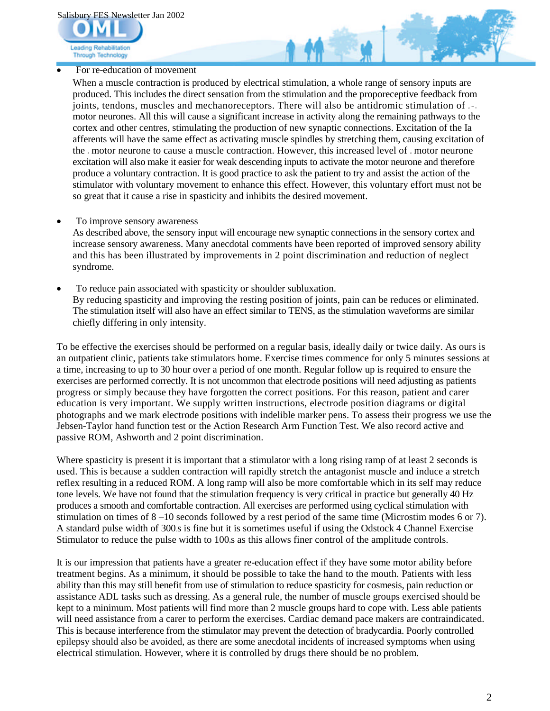Salisbury FES Newsletter Jan 2002



For re-education of movement

When a muscle contraction is produced by electrical stimulation, a whole range of sensory inputs are produced. This includes the direct sensation from the stimulation and the proporeceptive feedback from joints, tendons, muscles and mechanoreceptors. There will also be antidromic stimulation of and motor neurones. All this will cause a significant increase in activity along the remaining pathways to the cortex and other centres, stimulating the production of new synaptic connections. Excitation of the Ia afferents will have the same effect as activating muscle spindles by stretching them, causing excitation of the motor neurone to cause a muscle contraction. However, this increased level of motor neurone excitation will also make it easier for weak descending inputs to activate the motor neurone and therefore produce a voluntary contraction. It is good practice to ask the patient to try and assist the action of the stimulator with voluntary movement to enhance this effect. However, this voluntary effort must not be so great that it cause a rise in spasticity and inhibits the desired movement.

To improve sensory awareness

As described above, the sensory input will encourage new synaptic connections in the sensory cortex and increase sensory awareness. Many anecdotal comments have been reported of improved sensory ability and this has been illustrated by improvements in 2 point discrimination and reduction of neglect syndrome.

 To reduce pain associated with spasticity or shoulder subluxation. By reducing spasticity and improving the resting position of joints, pain can be reduces or eliminated. The stimulation itself will also have an effect similar to TENS, as the stimulation waveforms are similar chiefly differing in only intensity.

To be effective the exercises should be performed on a regular basis, ideally daily or twice daily. As ours is an outpatient clinic, patients take stimulators home. Exercise times commence for only 5 minutes sessions at a time, increasing to up to 30 hour over a period of one month. Regular follow up is required to ensure the exercises are performed correctly. It is not uncommon that electrode positions will need adjusting as patients progress or simply because they have forgotten the correct positions. For this reason, patient and carer education is very important. We supply written instructions, electrode position diagrams or digital photographs and we mark electrode positions with indelible marker pens. To assess their progress we use the Jebsen-Taylor hand function test or the Action Research Arm Function Test. We also record active and passive ROM, Ashworth and 2 point discrimination.

Where spasticity is present it is important that a stimulator with a long rising ramp of at least 2 seconds is used. This is because a sudden contraction will rapidly stretch the antagonist muscle and induce a stretch reflex resulting in a reduced ROM. A long ramp will also be more comfortable which in its self may reduce tone levels. We have not found that the stimulation frequency is very critical in practice but generally 40 Hz produces a smooth and comfortable contraction. All exercises are performed using cyclical stimulation with stimulation on times of 8 –10 seconds followed by a rest period of the same time (Microstim modes 6 or 7). A standard pulse width of 300.s is fine but it is sometimes useful if using the Odstock 4 Channel Exercise Stimulator to reduce the pulse width to 100, s as this allows finer control of the amplitude controls.

It is our impression that patients have a greater re-education effect if they have some motor ability before treatment begins. As a minimum, it should be possible to take the hand to the mouth. Patients with less ability than this may still benefit from use of stimulation to reduce spasticity for cosmesis, pain reduction or assistance ADL tasks such as dressing. As a general rule, the number of muscle groups exercised should be kept to a minimum. Most patients will find more than 2 muscle groups hard to cope with. Less able patients will need assistance from a carer to perform the exercises. Cardiac demand pace makers are contraindicated. This is because interference from the stimulator may prevent the detection of bradycardia. Poorly controlled epilepsy should also be avoided, as there are some anecdotal incidents of increased symptoms when using electrical stimulation. However, where it is controlled by drugs there should be no problem.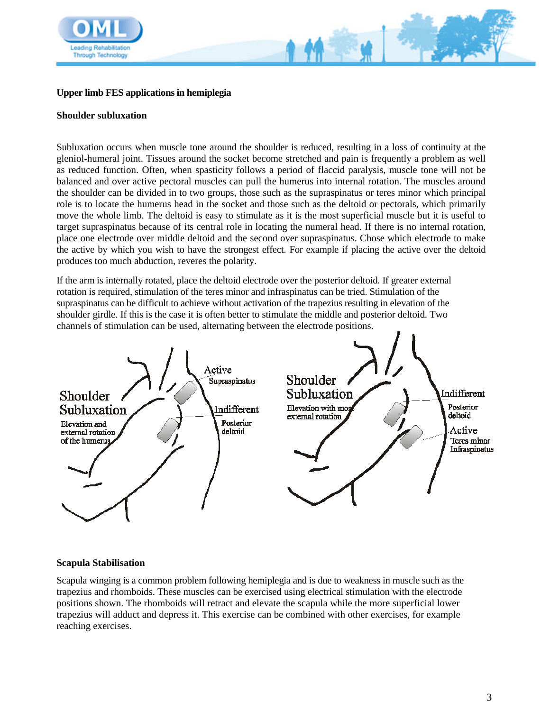

# **Upper limb FES applications in hemiplegia**

### **Shoulder subluxation**

Subluxation occurs when muscle tone around the shoulder is reduced, resulting in a loss of continuity at the gleniol-humeral joint. Tissues around the socket become stretched and pain is frequently a problem as well as reduced function. Often, when spasticity follows a period of flaccid paralysis, muscle tone will not be balanced and over active pectoral muscles can pull the humerus into internal rotation. The muscles around the shoulder can be divided in to two groups, those such as the supraspinatus or teres minor which principal role is to locate the humerus head in the socket and those such as the deltoid or pectorals, which primarily move the whole limb. The deltoid is easy to stimulate as it is the most superficial muscle but it is useful to target supraspinatus because of its central role in locating the numeral head. If there is no internal rotation, place one electrode over middle deltoid and the second over supraspinatus. Chose which electrode to make the active by which you wish to have the strongest effect. For example if placing the active over the deltoid produces too much abduction, reveres the polarity.

If the arm is internally rotated, place the deltoid electrode over the posterior deltoid. If greater external rotation is required, stimulation of the teres minor and infraspinatus can be tried. Stimulation of the supraspinatus can be difficult to achieve without activation of the trapezius resulting in elevation of the shoulder girdle. If this is the case it is often better to stimulate the middle and posterior deltoid. Two channels of stimulation can be used, alternating between the electrode positions.



#### **Scapula Stabilisation**

Scapula winging is a common problem following hemiplegia and is due to weakness in muscle such as the trapezius and rhomboids. These muscles can be exercised using electrical stimulation with the electrode positions shown. The rhomboids will retract and elevate the scapula while the more superficial lower trapezius will adduct and depress it. This exercise can be combined with other exercises, for example reaching exercises.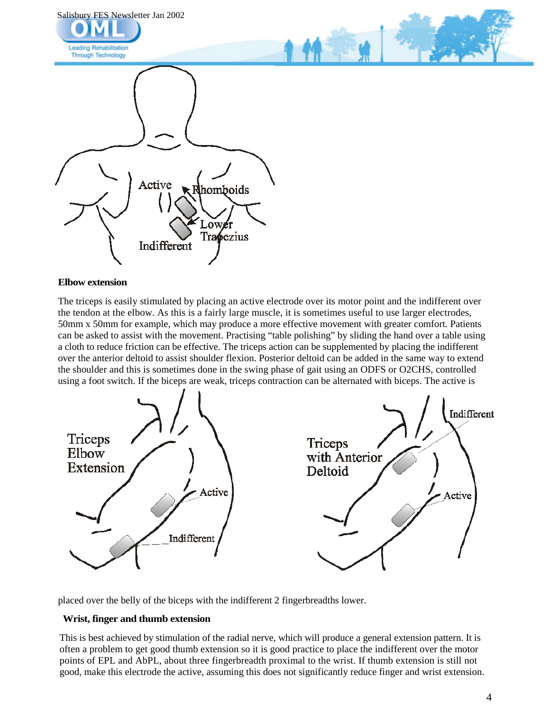

#### **Elbow extension**

The triceps is easily stimulated by placing an active electrode over its motor point and the indifferent over the tendon at the elbow. As this is a fairly large muscle, it is sometimes useful to use larger electrodes, 50mm x 50mm for example, which may produce a more effective movement with greater comfort. Patients can be asked to assist with the movement. Practising "table polishing" by sliding the hand over a table using a cloth to reduce friction can be effective. The triceps action can be supplemented by placing the indifferent over the anterior deltoid to assist shoulder flexion. Posterior deltoid can be added in the same way to extend the shoulder and this is sometimes done in the swing phase of gait using an ODFS or O2CHS, controlled using a foot switch. If the biceps are weak, triceps contraction can be alternated with biceps. The active is



placed over the belly of the biceps with the indifferent 2 fingerbreadths lower.

#### **Wrist, finger and thumb extension**

This is best achieved by stimulation of the radial nerve, which will produce a general extension pattern. It is often a problem to get good thumb extension so it is good practice to place the indifferent over the motor points of EPL and AbPL, about three fingerbreadth proximal to the wrist. If thumb extension is still not good, make this electrode the active, assuming this does not significantly reduce finger and wrist extension.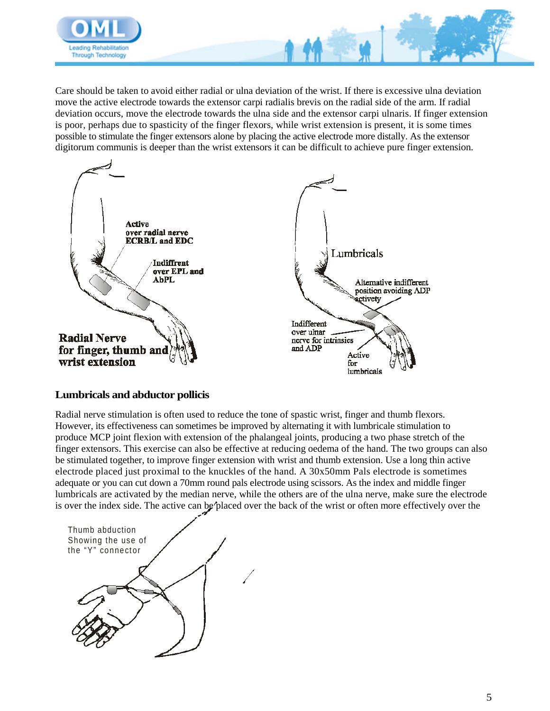

Care should be taken to avoid either radial or ulna deviation of the wrist. If there is excessive ulna deviation move the active electrode towards the extensor carpi radialis brevis on the radial side of the arm. If radial deviation occurs, move the electrode towards the ulna side and the extensor carpi ulnaris. If finger extension is poor, perhaps due to spasticity of the finger flexors, while wrist extension is present, it is some times possible to stimulate the finger extensors alone by placing the active electrode more distally. As the extensor digitorum communis is deeper than the wrist extensors it can be difficult to achieve pure finger extension.



## **Lumbricals and abductor pollicis**

Radial nerve stimulation is often used to reduce the tone of spastic wrist, finger and thumb flexors. However, its effectiveness can sometimes be improved by alternating it with lumbricale stimulation to produce MCP joint flexion with extension of the phalangeal joints, producing a two phase stretch of the finger extensors. This exercise can also be effective at reducing oedema of the hand. The two groups can also be stimulated together, to improve finger extension with wrist and thumb extension. Use a long thin active electrode placed just proximal to the knuckles of the hand. A 30x50mm Pals electrode is sometimes adequate or you can cut down a 70mm round pals electrode using scissors. As the index and middle finger lumbricals are activated by the median nerve, while the others are of the ulna nerve, make sure the electrode is over the index side. The active can be placed over the back of the wrist or often more effectively over the

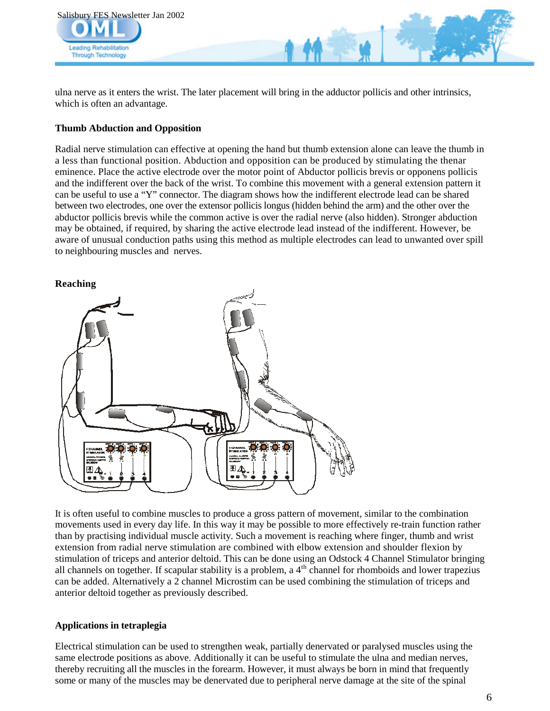

ulna nerve as it enters the wrist. The later placement will bring in the adductor pollicis and other intrinsics, which is often an advantage.

### **Thumb Abduction and Opposition**

Radial nerve stimulation can effective at opening the hand but thumb extension alone can leave the thumb in a less than functional position. Abduction and opposition can be produced by stimulating the thenar eminence. Place the active electrode over the motor point of Abductor pollicis brevis or opponens pollicis and the indifferent over the back of the wrist. To combine this movement with a general extension pattern it can be useful to use a "Y" connector. The diagram shows how the indifferent electrode lead can be shared between two electrodes, one over the extensor pollicis longus (hidden behind the arm) and the other over the abductor pollicis brevis while the common active is over the radial nerve (also hidden). Stronger abduction may be obtained, if required, by sharing the active electrode lead instead of the indifferent. However, be aware of unusual conduction paths using this method as multiple electrodes can lead to unwanted over spill to neighbouring muscles and nerves.



It is often useful to combine muscles to produce a gross pattern of movement, similar to the combination movements used in every day life. In this way it may be possible to more effectively re-train function rather than by practising individual muscle activity. Such a movement is reaching where finger, thumb and wrist extension from radial nerve stimulation are combined with elbow extension and shoulder flexion by stimulation of triceps and anterior deltoid. This can be done using an Odstock 4 Channel Stimulator bringing all channels on together. If scapular stability is a problem, a  $4<sup>th</sup>$  channel for rhomboids and lower trapezius can be added. Alternatively a 2 channel Microstim can be used combining the stimulation of triceps and anterior deltoid together as previously described.

#### **Applications in tetraplegia**

Electrical stimulation can be used to strengthen weak, partially denervated or paralysed muscles using the same electrode positions as above. Additionally it can be useful to stimulate the ulna and median nerves, thereby recruiting all the muscles in the forearm. However, it must always be born in mind that frequently some or many of the muscles may be denervated due to peripheral nerve damage at the site of the spinal